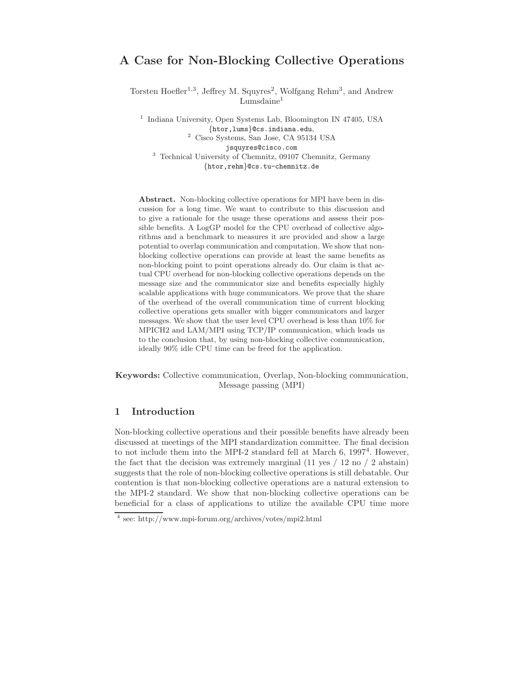# A Case for Non-Blocking Collective Operations

Torsten Hoefler<sup>1,3</sup>, Jeffrey M. Squyres<sup>2</sup>, Wolfgang Rehm<sup>3</sup>, and Andrew  $Lumsdaine<sup>1</sup>$ 

<sup>1</sup> Indiana University, Open Systems Lab, Bloomington IN 47405, USA {htor,lums}@cs.indiana.edu,  $^2\,$  Cisco Systems, San Jose, CA 95134 USA jsquyres@cisco.com <sup>3</sup> Technical University of Chemnitz, 09107 Chemnitz, Germany {htor,rehm}@cs.tu-chemnitz.de

Abstract. Non-blocking collective operations for MPI have been in discussion for a long time. We want to contribute to this discussion and to give a rationale for the usage these operations and assess their possible benefits. A LogGP model for the CPU overhead of collective algorithms and a benchmark to measures it are provided and show a large potential to overlap communication and computation. We show that nonblocking collective operations can provide at least the same benefits as non-blocking point to point operations already do. Our claim is that actual CPU overhead for non-blocking collective operations depends on the message size and the communicator size and benefits especially highly scalable applications with huge communicators. We prove that the share of the overhead of the overall communication time of current blocking collective operations gets smaller with bigger communicators and larger messages. We show that the user level CPU overhead is less than 10% for MPICH2 and LAM/MPI using TCP/IP communication, which leads us to the conclusion that, by using non-blocking collective communication, ideally 90% idle CPU time can be freed for the application.

Keywords: Collective communication, Overlap, Non-blocking communication, Message passing (MPI)

## 1 Introduction

Non-blocking collective operations and their possible benefits have already been discussed at meetings of the MPI standardization committee. The final decision to not include them into the MPI-2 standard fell at March 6, 1997<sup>4</sup>. However, the fact that the decision was extremely marginal  $(11 \text{ yes } / 12 \text{ no } / 2 \text{ abstain})$ suggests that the role of non-blocking collective operations is still debatable. Our contention is that non-blocking collective operations are a natural extension to the MPI-2 standard. We show that non-blocking collective operations can be beneficial for a class of applications to utilize the available CPU time more

<sup>4</sup> see: http://www.mpi-forum.org/archives/votes/mpi2.html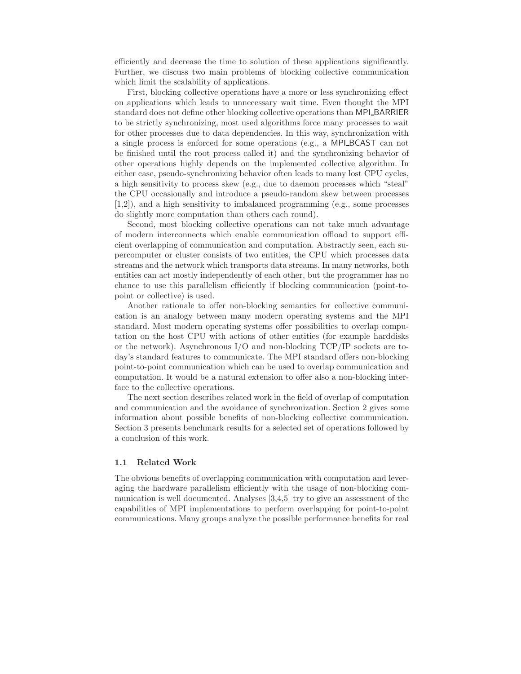efficiently and decrease the time to solution of these applications significantly. Further, we discuss two main problems of blocking collective communication which limit the scalability of applications.

First, blocking collective operations have a more or less synchronizing effect on applications which leads to unnecessary wait time. Even thought the MPI standard does not define other blocking collective operations than MPI BARRIER to be strictly synchronizing, most used algorithms force many processes to wait for other processes due to data dependencies. In this way, synchronization with a single process is enforced for some operations (e.g., a MPI-BCAST can not be finished until the root process called it) and the synchronizing behavior of other operations highly depends on the implemented collective algorithm. In either case, pseudo-synchronizing behavior often leads to many lost CPU cycles, a high sensitivity to process skew (e.g., due to daemon processes which "steal" the CPU occasionally and introduce a pseudo-random skew between processes [1,2]), and a high sensitivity to imbalanced programming (e.g., some processes do slightly more computation than others each round).

Second, most blocking collective operations can not take much advantage of modern interconnects which enable communication offload to support efficient overlapping of communication and computation. Abstractly seen, each supercomputer or cluster consists of two entities, the CPU which processes data streams and the network which transports data streams. In many networks, both entities can act mostly independently of each other, but the programmer has no chance to use this parallelism efficiently if blocking communication (point-topoint or collective) is used.

Another rationale to offer non-blocking semantics for collective communication is an analogy between many modern operating systems and the MPI standard. Most modern operating systems offer possibilities to overlap computation on the host CPU with actions of other entities (for example harddisks or the network). Asynchronous I/O and non-blocking TCP/IP sockets are today's standard features to communicate. The MPI standard offers non-blocking point-to-point communication which can be used to overlap communication and computation. It would be a natural extension to offer also a non-blocking interface to the collective operations.

The next section describes related work in the field of overlap of computation and communication and the avoidance of synchronization. Section 2 gives some information about possible benefits of non-blocking collective communication. Section 3 presents benchmark results for a selected set of operations followed by a conclusion of this work.

#### 1.1 Related Work

The obvious benefits of overlapping communication with computation and leveraging the hardware parallelism efficiently with the usage of non-blocking communication is well documented. Analyses [3,4,5] try to give an assessment of the capabilities of MPI implementations to perform overlapping for point-to-point communications. Many groups analyze the possible performance benefits for real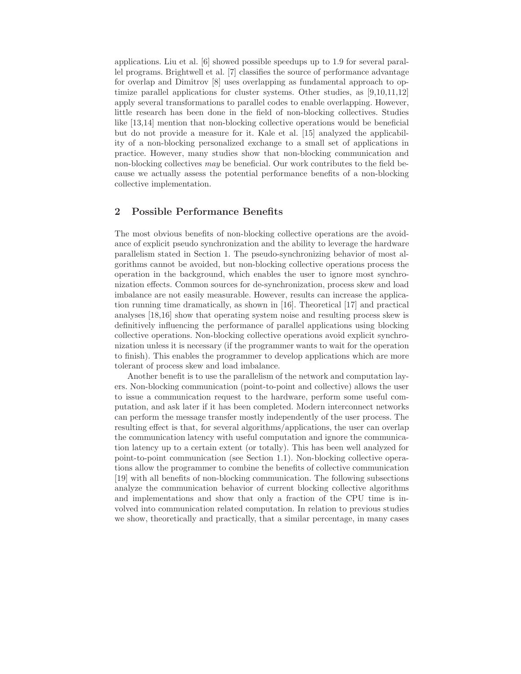applications. Liu et al. [6] showed possible speedups up to 1.9 for several parallel programs. Brightwell et al. [7] classifies the source of performance advantage for overlap and Dimitrov [8] uses overlapping as fundamental approach to optimize parallel applications for cluster systems. Other studies, as [9,10,11,12] apply several transformations to parallel codes to enable overlapping. However, little research has been done in the field of non-blocking collectives. Studies like [13,14] mention that non-blocking collective operations would be beneficial but do not provide a measure for it. Kale et al. [15] analyzed the applicability of a non-blocking personalized exchange to a small set of applications in practice. However, many studies show that non-blocking communication and non-blocking collectives may be beneficial. Our work contributes to the field because we actually assess the potential performance benefits of a non-blocking collective implementation.

### 2 Possible Performance Benefits

The most obvious benefits of non-blocking collective operations are the avoidance of explicit pseudo synchronization and the ability to leverage the hardware parallelism stated in Section 1. The pseudo-synchronizing behavior of most algorithms cannot be avoided, but non-blocking collective operations process the operation in the background, which enables the user to ignore most synchronization effects. Common sources for de-synchronization, process skew and load imbalance are not easily measurable. However, results can increase the application running time dramatically, as shown in [16]. Theoretical [17] and practical analyses [18,16] show that operating system noise and resulting process skew is definitively influencing the performance of parallel applications using blocking collective operations. Non-blocking collective operations avoid explicit synchronization unless it is necessary (if the programmer wants to wait for the operation to finish). This enables the programmer to develop applications which are more tolerant of process skew and load imbalance.

Another benefit is to use the parallelism of the network and computation layers. Non-blocking communication (point-to-point and collective) allows the user to issue a communication request to the hardware, perform some useful computation, and ask later if it has been completed. Modern interconnect networks can perform the message transfer mostly independently of the user process. The resulting effect is that, for several algorithms/applications, the user can overlap the communication latency with useful computation and ignore the communication latency up to a certain extent (or totally). This has been well analyzed for point-to-point communication (see Section 1.1). Non-blocking collective operations allow the programmer to combine the benefits of collective communication [19] with all benefits of non-blocking communication. The following subsections analyze the communication behavior of current blocking collective algorithms and implementations and show that only a fraction of the CPU time is involved into communication related computation. In relation to previous studies we show, theoretically and practically, that a similar percentage, in many cases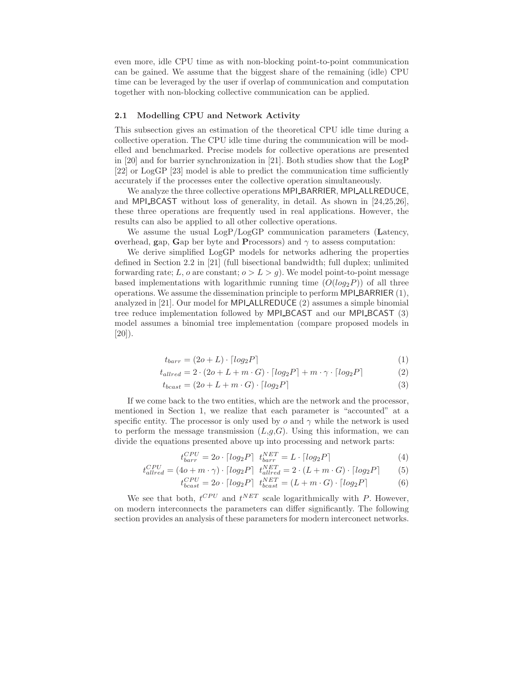even more, idle CPU time as with non-blocking point-to-point communication can be gained. We assume that the biggest share of the remaining (idle) CPU time can be leveraged by the user if overlap of communication and computation together with non-blocking collective communication can be applied.

#### 2.1 Modelling CPU and Network Activity

This subsection gives an estimation of the theoretical CPU idle time during a collective operation. The CPU idle time during the communication will be modelled and benchmarked. Precise models for collective operations are presented in [20] and for barrier synchronization in [21]. Both studies show that the LogP [22] or LogGP [23] model is able to predict the communication time sufficiently accurately if the processes enter the collective operation simultaneously.

We analyze the three collective operations MPI\_BARRIER, MPI\_ALLREDUCE, and MPI BCAST without loss of generality, in detail. As shown in  $[24,25,26]$ , these three operations are frequently used in real applications. However, the results can also be applied to all other collective operations.

We assume the usual LogP/LogGP communication parameters (Latency, overhead, gap, Gap ber byte and Processors) and  $\gamma$  to assess computation:

We derive simplified LogGP models for networks adhering the properties defined in Section 2.2 in [21] (full bisectional bandwidth; full duplex; unlimited forwarding rate; L, o are constant;  $o > L > g$ ). We model point-to-point message based implementations with logarithmic running time  $(O(log_2 P))$  of all three operations. We assume the dissemination principle to perform MPI BARRIER (1), analyzed in [21]. Our model for MPI ALLREDUCE (2) assumes a simple binomial tree reduce implementation followed by MPI BCAST and our MPI BCAST (3) model assumes a binomial tree implementation (compare proposed models in  $[20]$ ).

$$
t_{barr} = (2o + L) \cdot \lceil log_2 P \rceil \tag{1}
$$

$$
t_{allred} = 2 \cdot (2o + L + m \cdot G) \cdot \lceil log_2 P \rceil + m \cdot \gamma \cdot \lceil log_2 P \rceil \tag{2}
$$

$$
t_{bcast} = (2o + L + m \cdot G) \cdot \lceil log_2 P \rceil \tag{3}
$$

If we come back to the two entities, which are the network and the processor, mentioned in Section 1, we realize that each parameter is "accounted" at a specific entity. The processor is only used by  $o$  and  $\gamma$  while the network is used to perform the message transmission  $(L,g,G)$ . Using this information, we can divide the equations presented above up into processing and network parts:

$$
t_{barr}^{CPU} = 2o \cdot \lceil log_2 P \rceil \ t_{barr}^{NET} = L \cdot \lceil log_2 P \rceil \tag{4}
$$

$$
t_{allred}^{CPU} = (40 + m \cdot \gamma) \cdot \lceil log_2 P \rceil \ t_{allred}^{NET} = 2 \cdot (L + m \cdot G) \cdot \lceil log_2 P \rceil \tag{5}
$$

$$
t_{bcast}^{CPU} = 2o \cdot \lceil log_2 P \rceil \ t_{bcast}^{NET} = (L + m \cdot G) \cdot \lceil log_2 P \rceil \tag{6}
$$

We see that both,  $t^{CPU}$  and  $t^{NET}$  scale logarithmically with P. However, on modern interconnects the parameters can differ significantly. The following section provides an analysis of these parameters for modern interconect networks.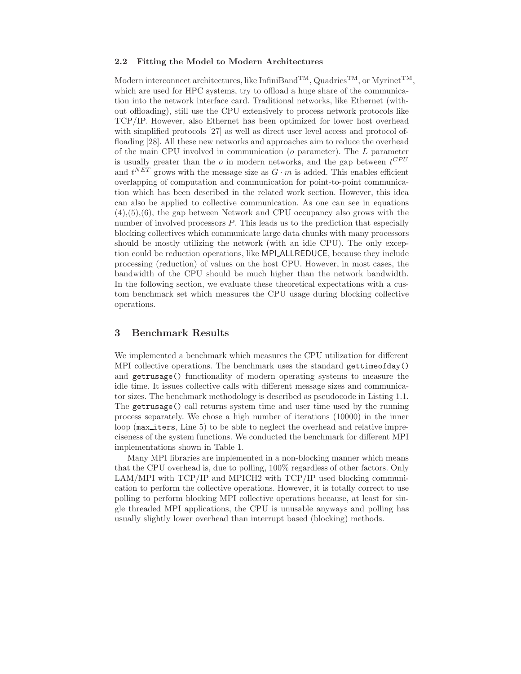#### 2.2 Fitting the Model to Modern Architectures

Modern interconnect architectures, like InfiniBand<sup>TM</sup>, Quadrics<sup>TM</sup>, or Myrinet<sup>TM</sup>. which are used for HPC systems, try to offload a huge share of the communication into the network interface card. Traditional networks, like Ethernet (without offloading), still use the CPU extensively to process network protocols like TCP/IP. However, also Ethernet has been optimized for lower host overhead with simplified protocols [27] as well as direct user level access and protocol offloading [28]. All these new networks and approaches aim to reduce the overhead of the main CPU involved in communication ( $o$  parameter). The  $L$  parameter is usually greater than the  $o$  in modern networks, and the gap between  $t^{CPU}$ and  $t^{NET}$  grows with the message size as  $G \cdot m$  is added. This enables efficient overlapping of computation and communication for point-to-point communication which has been described in the related work section. However, this idea can also be applied to collective communication. As one can see in equations  $(4),(5),(6)$ , the gap between Network and CPU occupancy also grows with the number of involved processors  $P$ . This leads us to the prediction that especially blocking collectives which communicate large data chunks with many processors should be mostly utilizing the network (with an idle CPU). The only exception could be reduction operations, like MPI ALLREDUCE, because they include processing (reduction) of values on the host CPU. However, in most cases, the bandwidth of the CPU should be much higher than the network bandwidth. In the following section, we evaluate these theoretical expectations with a custom benchmark set which measures the CPU usage during blocking collective operations.

### 3 Benchmark Results

We implemented a benchmark which measures the CPU utilization for different MPI collective operations. The benchmark uses the standard gettimeofday() and getrusage() functionality of modern operating systems to measure the idle time. It issues collective calls with different message sizes and communicator sizes. The benchmark methodology is described as pseudocode in Listing 1.1. The getrusage() call returns system time and user time used by the running process separately. We chose a high number of iterations (10000) in the inner loop (max iters, Line 5) to be able to neglect the overhead and relative impreciseness of the system functions. We conducted the benchmark for different MPI implementations shown in Table 1.

Many MPI libraries are implemented in a non-blocking manner which means that the CPU overhead is, due to polling, 100% regardless of other factors. Only LAM/MPI with TCP/IP and MPICH2 with TCP/IP used blocking communication to perform the collective operations. However, it is totally correct to use polling to perform blocking MPI collective operations because, at least for single threaded MPI applications, the CPU is unusable anyways and polling has usually slightly lower overhead than interrupt based (blocking) methods.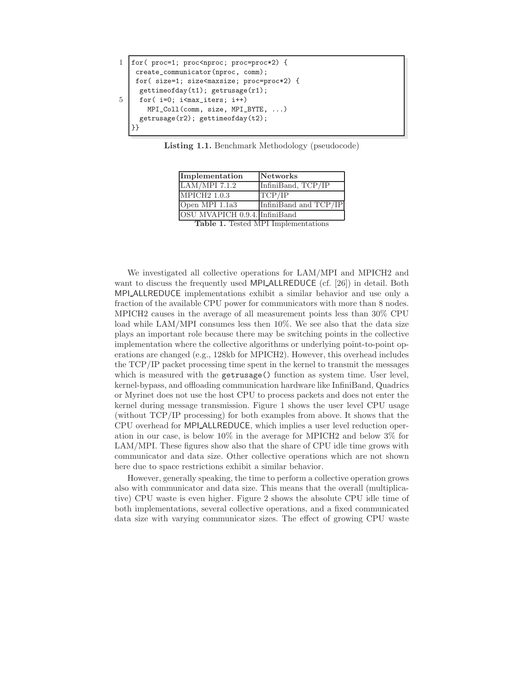```
1 for( proc=1; proc<nproc; proc=proc*2) {
    create_communicator(nproc, comm);
    for( size=1; size<maxsize; proc=proc*2) {
     gettimeofday(t1); getrusage(r1);
5 for( i=0; i<max_iters; i++)
       MPI_Coll(comm, size, MPI_BYTE, ...)
     getrusage(r2); gettimeofday(t2);
   }}
```
Listing 1.1. Benchmark Methodology (pseudocode)

| Implementation                             | Networks              |
|--------------------------------------------|-----------------------|
| $LAM/MPI$ 7.1.2                            | InfiniBand, TCP/IP    |
| MPICH2 1.0.3                               | TCP/IP                |
| Open MPI $1.1a3$                           | InfiniBand and TCP/IP |
| OSU MVAPICH 0.9.4. InfiniBand              |                       |
| <b>Table 1.</b> Tested MPI Implementations |                       |

We investigated all collective operations for LAM/MPI and MPICH2 and want to discuss the frequently used MPLALLREDUCE (cf. [26]) in detail. Both MPI ALLREDUCE implementations exhibit a similar behavior and use only a fraction of the available CPU power for communicators with more than 8 nodes. MPICH2 causes in the average of all measurement points less than 30% CPU load while LAM/MPI consumes less then 10%. We see also that the data size plays an important role because there may be switching points in the collective implementation where the collective algorithms or underlying point-to-point operations are changed (e.g., 128kb for MPICH2). However, this overhead includes the TCP/IP packet processing time spent in the kernel to transmit the messages which is measured with the getrusage() function as system time. User level, kernel-bypass, and offloading communication hardware like InfiniBand, Quadrics or Myrinet does not use the host CPU to process packets and does not enter the kernel during message transmission. Figure 1 shows the user level CPU usage (without TCP/IP processing) for both examples from above. It shows that the CPU overhead for MPI ALLREDUCE, which implies a user level reduction operation in our case, is below 10% in the average for MPICH2 and below 3% for LAM/MPI. These figures show also that the share of CPU idle time grows with communicator and data size. Other collective operations which are not shown here due to space restrictions exhibit a similar behavior.

However, generally speaking, the time to perform a collective operation grows also with communicator and data size. This means that the overall (multiplicative) CPU waste is even higher. Figure 2 shows the absolute CPU idle time of both implementations, several collective operations, and a fixed communicated data size with varying communicator sizes. The effect of growing CPU waste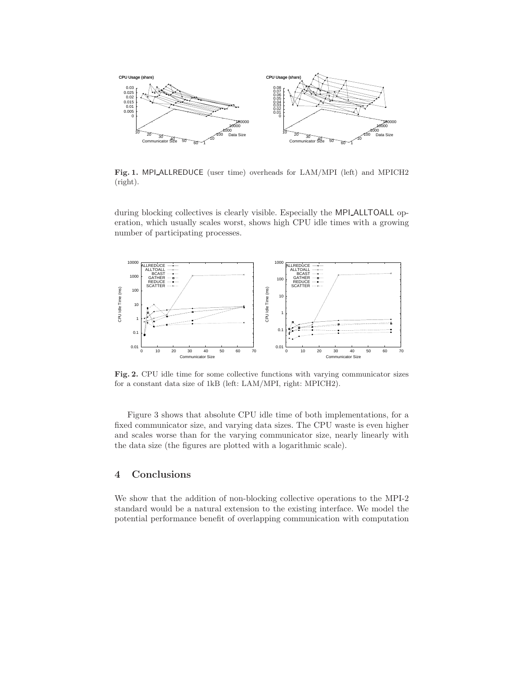

Fig. 1. MPLALLREDUCE (user time) overheads for LAM/MPI (left) and MPICH2 (right).

during blocking collectives is clearly visible. Especially the MPI ALLTOALL operation, which usually scales worst, shows high CPU idle times with a growing number of participating processes.



Fig. 2. CPU idle time for some collective functions with varying communicator sizes for a constant data size of 1kB (left: LAM/MPI, right: MPICH2).

Figure 3 shows that absolute CPU idle time of both implementations, for a fixed communicator size, and varying data sizes. The CPU waste is even higher and scales worse than for the varying communicator size, nearly linearly with the data size (the figures are plotted with a logarithmic scale).

## 4 Conclusions

We show that the addition of non-blocking collective operations to the MPI-2 standard would be a natural extension to the existing interface. We model the potential performance benefit of overlapping communication with computation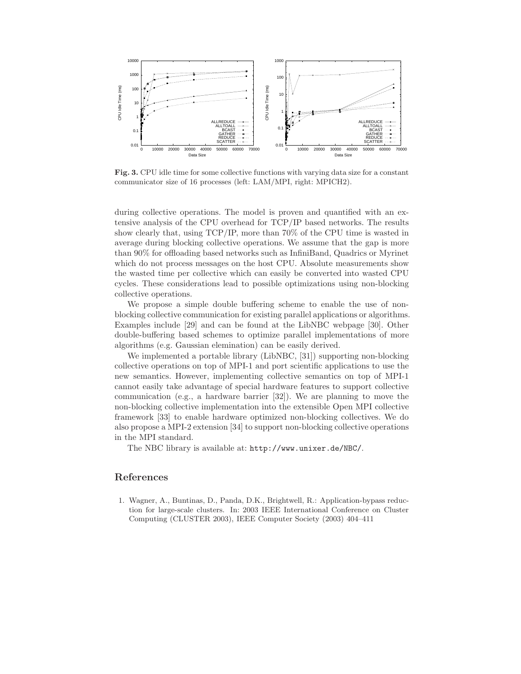

Fig. 3. CPU idle time for some collective functions with varying data size for a constant communicator size of 16 processes (left: LAM/MPI, right: MPICH2).

during collective operations. The model is proven and quantified with an extensive analysis of the CPU overhead for TCP/IP based networks. The results show clearly that, using TCP/IP, more than 70% of the CPU time is wasted in average during blocking collective operations. We assume that the gap is more than 90% for offloading based networks such as InfiniBand, Quadrics or Myrinet which do not process messages on the host CPU. Absolute measurements show the wasted time per collective which can easily be converted into wasted CPU cycles. These considerations lead to possible optimizations using non-blocking collective operations.

We propose a simple double buffering scheme to enable the use of nonblocking collective communication for existing parallel applications or algorithms. Examples include [29] and can be found at the LibNBC webpage [30]. Other double-buffering based schemes to optimize parallel implementations of more algorithms (e.g. Gaussian elemination) can be easily derived.

We implemented a portable library (LibNBC, [31]) supporting non-blocking collective operations on top of MPI-1 and port scientific applications to use the new semantics. However, implementing collective semantics on top of MPI-1 cannot easily take advantage of special hardware features to support collective communication (e.g., a hardware barrier [32]). We are planning to move the non-blocking collective implementation into the extensible Open MPI collective framework [33] to enable hardware optimized non-blocking collectives. We do also propose a MPI-2 extension [34] to support non-blocking collective operations in the MPI standard.

The NBC library is available at: http://www.unixer.de/NBC/.

### References

1. Wagner, A., Buntinas, D., Panda, D.K., Brightwell, R.: Application-bypass reduction for large-scale clusters. In: 2003 IEEE International Conference on Cluster Computing (CLUSTER 2003), IEEE Computer Society (2003) 404–411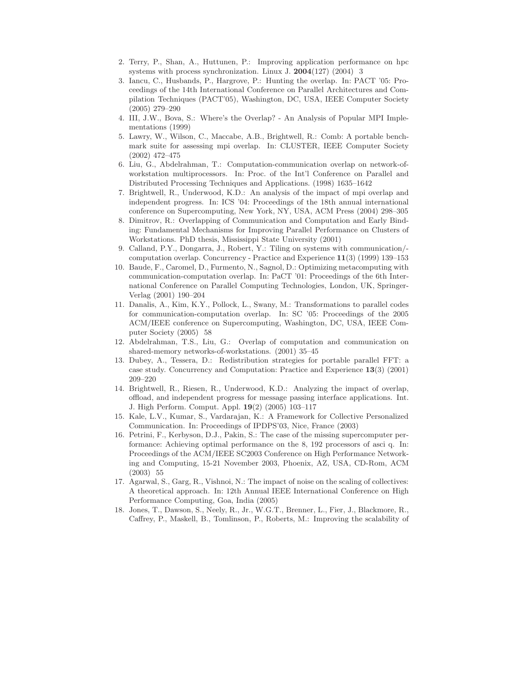- 2. Terry, P., Shan, A., Huttunen, P.: Improving application performance on hpc systems with process synchronization. Linux J. 2004(127) (2004) 3
- 3. Iancu, C., Husbands, P., Hargrove, P.: Hunting the overlap. In: PACT '05: Proceedings of the 14th International Conference on Parallel Architectures and Compilation Techniques (PACT'05), Washington, DC, USA, IEEE Computer Society (2005) 279–290
- 4. III, J.W., Bova, S.: Where's the Overlap? An Analysis of Popular MPI Implementations (1999)
- 5. Lawry, W., Wilson, C., Maccabe, A.B., Brightwell, R.: Comb: A portable benchmark suite for assessing mpi overlap. In: CLUSTER, IEEE Computer Society (2002) 472–475
- 6. Liu, G., Abdelrahman, T.: Computation-communication overlap on network-ofworkstation multiprocessors. In: Proc. of the Int'l Conference on Parallel and Distributed Processing Techniques and Applications. (1998) 1635–1642
- 7. Brightwell, R., Underwood, K.D.: An analysis of the impact of mpi overlap and independent progress. In: ICS '04: Proceedings of the 18th annual international conference on Supercomputing, New York, NY, USA, ACM Press (2004) 298–305
- 8. Dimitrov, R.: Overlapping of Communication and Computation and Early Binding: Fundamental Mechanisms for Improving Parallel Performance on Clusters of Workstations. PhD thesis, Mississippi State University (2001)
- 9. Calland, P.Y., Dongarra, J., Robert, Y.: Tiling on systems with communication/ computation overlap. Concurrency - Practice and Experience 11(3) (1999) 139–153
- 10. Baude, F., Caromel, D., Furmento, N., Sagnol, D.: Optimizing metacomputing with communication-computation overlap. In: PaCT '01: Proceedings of the 6th International Conference on Parallel Computing Technologies, London, UK, Springer-Verlag (2001) 190–204
- 11. Danalis, A., Kim, K.Y., Pollock, L., Swany, M.: Transformations to parallel codes for communication-computation overlap. In: SC '05: Proceedings of the 2005 ACM/IEEE conference on Supercomputing, Washington, DC, USA, IEEE Computer Society (2005) 58
- 12. Abdelrahman, T.S., Liu, G.: Overlap of computation and communication on shared-memory networks-of-workstations. (2001) 35–45
- 13. Dubey, A., Tessera, D.: Redistribution strategies for portable parallel FFT: a case study. Concurrency and Computation: Practice and Experience 13(3) (2001) 209–220
- 14. Brightwell, R., Riesen, R., Underwood, K.D.: Analyzing the impact of overlap, offload, and independent progress for message passing interface applications. Int. J. High Perform. Comput. Appl. 19(2) (2005) 103–117
- 15. Kale, L.V., Kumar, S., Vardarajan, K.: A Framework for Collective Personalized Communication. In: Proceedings of IPDPS'03, Nice, France (2003)
- 16. Petrini, F., Kerbyson, D.J., Pakin, S.: The case of the missing supercomputer performance: Achieving optimal performance on the 8, 192 processors of asci q. In: Proceedings of the ACM/IEEE SC2003 Conference on High Performance Networking and Computing, 15-21 November 2003, Phoenix, AZ, USA, CD-Rom, ACM (2003) 55
- 17. Agarwal, S., Garg, R., Vishnoi, N.: The impact of noise on the scaling of collectives: A theoretical approach. In: 12th Annual IEEE International Conference on High Performance Computing, Goa, India (2005)
- 18. Jones, T., Dawson, S., Neely, R., Jr., W.G.T., Brenner, L., Fier, J., Blackmore, R., Caffrey, P., Maskell, B., Tomlinson, P., Roberts, M.: Improving the scalability of